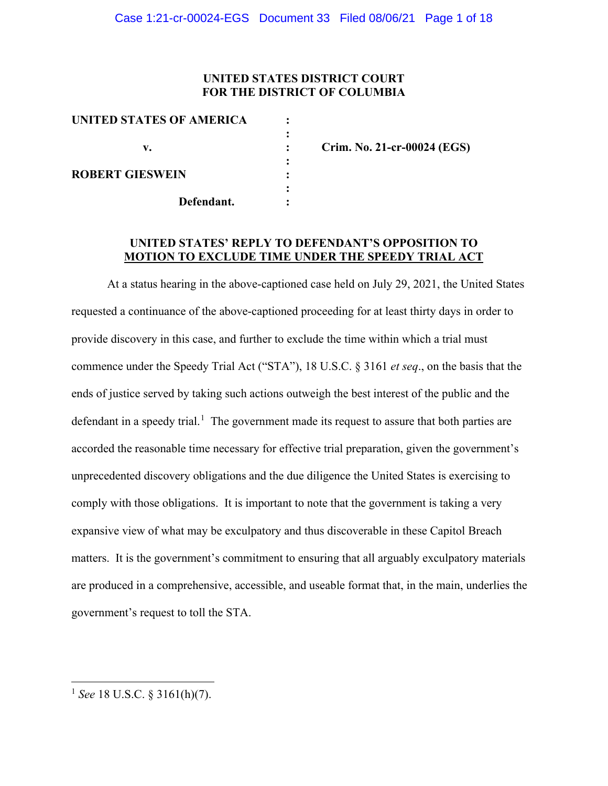# **UNITED STATES DISTRICT COURT FOR THE DISTRICT OF COLUMBIA**

| UNITED STATES OF AMERICA |  |
|--------------------------|--|
|                          |  |
| v.                       |  |
|                          |  |
| <b>ROBERT GIESWEIN</b>   |  |
|                          |  |
| Defendant.               |  |
|                          |  |

**v. : Crim. No. 21-cr-00024 (EGS)**

### **UNITED STATES' REPLY TO DEFENDANT'S OPPOSITION TO MOTION TO EXCLUDE TIME UNDER THE SPEEDY TRIAL ACT**

At a status hearing in the above-captioned case held on July 29, 2021, the United States requested a continuance of the above-captioned proceeding for at least thirty days in order to provide discovery in this case, and further to exclude the time within which a trial must commence under the Speedy Trial Act ("STA"), 18 U.S.C. § 3161 *et seq*., on the basis that the ends of justice served by taking such actions outweigh the best interest of the public and the defendant in a speedy trial.<sup>1</sup> The government made its request to assure that both parties are accorded the reasonable time necessary for effective trial preparation, given the government's unprecedented discovery obligations and the due diligence the United States is exercising to comply with those obligations. It is important to note that the government is taking a very expansive view of what may be exculpatory and thus discoverable in these Capitol Breach matters. It is the government's commitment to ensuring that all arguably exculpatory materials are produced in a comprehensive, accessible, and useable format that, in the main, underlies the government's request to toll the STA.

<sup>1</sup> *See* 18 U.S.C. § 3161(h)(7).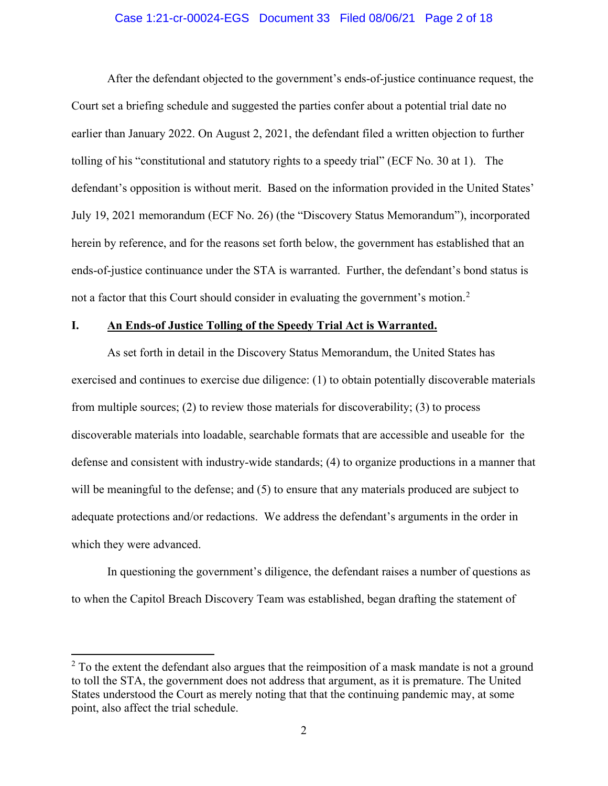#### Case 1:21-cr-00024-EGS Document 33 Filed 08/06/21 Page 2 of 18

After the defendant objected to the government's ends-of-justice continuance request, the Court set a briefing schedule and suggested the parties confer about a potential trial date no earlier than January 2022. On August 2, 2021, the defendant filed a written objection to further tolling of his "constitutional and statutory rights to a speedy trial" (ECF No. 30 at 1). The defendant's opposition is without merit. Based on the information provided in the United States' July 19, 2021 memorandum (ECF No. 26) (the "Discovery Status Memorandum"), incorporated herein by reference, and for the reasons set forth below, the government has established that an ends-of-justice continuance under the STA is warranted. Further, the defendant's bond status is not a factor that this Court should consider in evaluating the government's motion.<sup>2</sup>

#### **I. An Ends-of Justice Tolling of the Speedy Trial Act is Warranted.**

As set forth in detail in the Discovery Status Memorandum, the United States has exercised and continues to exercise due diligence: (1) to obtain potentially discoverable materials from multiple sources; (2) to review those materials for discoverability; (3) to process discoverable materials into loadable, searchable formats that are accessible and useable for the defense and consistent with industry-wide standards; (4) to organize productions in a manner that will be meaningful to the defense; and (5) to ensure that any materials produced are subject to adequate protections and/or redactions. We address the defendant's arguments in the order in which they were advanced.

In questioning the government's diligence, the defendant raises a number of questions as to when the Capitol Breach Discovery Team was established, began drafting the statement of

 $2^2$  To the extent the defendant also argues that the reimposition of a mask mandate is not a ground to toll the STA, the government does not address that argument, as it is premature. The United States understood the Court as merely noting that that the continuing pandemic may, at some point, also affect the trial schedule.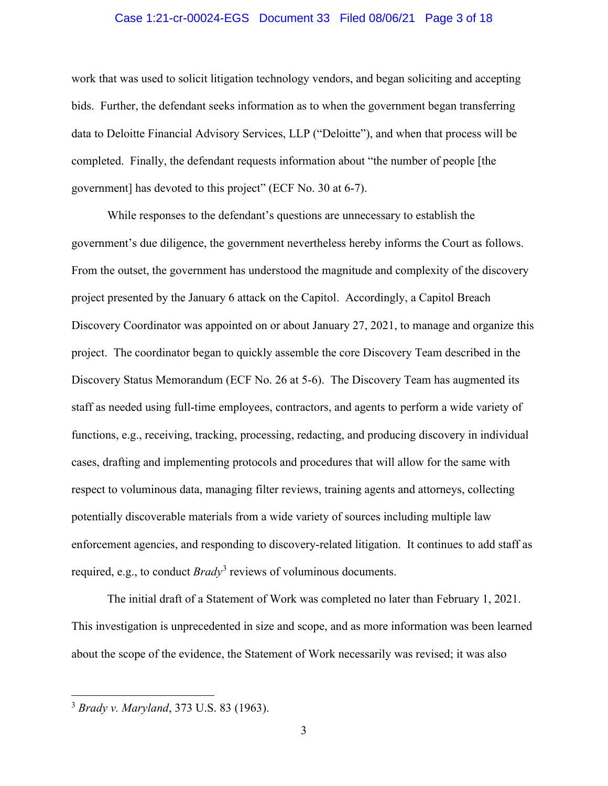#### Case 1:21-cr-00024-EGS Document 33 Filed 08/06/21 Page 3 of 18

work that was used to solicit litigation technology vendors, and began soliciting and accepting bids. Further, the defendant seeks information as to when the government began transferring data to Deloitte Financial Advisory Services, LLP ("Deloitte"), and when that process will be completed. Finally, the defendant requests information about "the number of people [the government] has devoted to this project" (ECF No. 30 at 6-7).

While responses to the defendant's questions are unnecessary to establish the government's due diligence, the government nevertheless hereby informs the Court as follows. From the outset, the government has understood the magnitude and complexity of the discovery project presented by the January 6 attack on the Capitol. Accordingly, a Capitol Breach Discovery Coordinator was appointed on or about January 27, 2021, to manage and organize this project. The coordinator began to quickly assemble the core Discovery Team described in the Discovery Status Memorandum (ECF No. 26 at 5-6). The Discovery Team has augmented its staff as needed using full-time employees, contractors, and agents to perform a wide variety of functions, e.g., receiving, tracking, processing, redacting, and producing discovery in individual cases, drafting and implementing protocols and procedures that will allow for the same with respect to voluminous data, managing filter reviews, training agents and attorneys, collecting potentially discoverable materials from a wide variety of sources including multiple law enforcement agencies, and responding to discovery-related litigation. It continues to add staff as required, e.g., to conduct *Brady*<sup>3</sup> reviews of voluminous documents.

The initial draft of a Statement of Work was completed no later than February 1, 2021. This investigation is unprecedented in size and scope, and as more information was been learned about the scope of the evidence, the Statement of Work necessarily was revised; it was also

<sup>3</sup> *Brady v. Maryland*, 373 U.S. 83 (1963).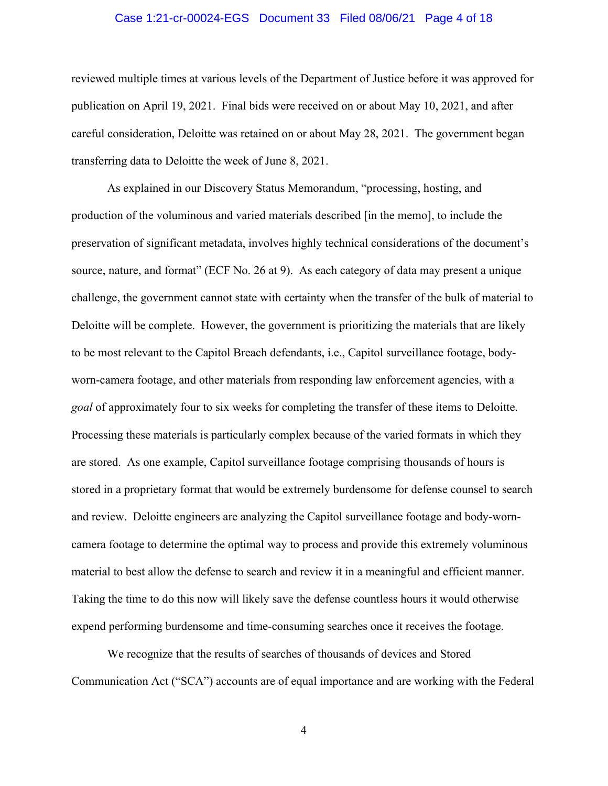#### Case 1:21-cr-00024-EGS Document 33 Filed 08/06/21 Page 4 of 18

reviewed multiple times at various levels of the Department of Justice before it was approved for publication on April 19, 2021. Final bids were received on or about May 10, 2021, and after careful consideration, Deloitte was retained on or about May 28, 2021. The government began transferring data to Deloitte the week of June 8, 2021.

As explained in our Discovery Status Memorandum, "processing, hosting, and production of the voluminous and varied materials described [in the memo], to include the preservation of significant metadata, involves highly technical considerations of the document's source, nature, and format" (ECF No. 26 at 9). As each category of data may present a unique challenge, the government cannot state with certainty when the transfer of the bulk of material to Deloitte will be complete. However, the government is prioritizing the materials that are likely to be most relevant to the Capitol Breach defendants, i.e., Capitol surveillance footage, bodyworn-camera footage, and other materials from responding law enforcement agencies, with a *goal* of approximately four to six weeks for completing the transfer of these items to Deloitte. Processing these materials is particularly complex because of the varied formats in which they are stored. As one example, Capitol surveillance footage comprising thousands of hours is stored in a proprietary format that would be extremely burdensome for defense counsel to search and review. Deloitte engineers are analyzing the Capitol surveillance footage and body-worncamera footage to determine the optimal way to process and provide this extremely voluminous material to best allow the defense to search and review it in a meaningful and efficient manner. Taking the time to do this now will likely save the defense countless hours it would otherwise expend performing burdensome and time-consuming searches once it receives the footage.

We recognize that the results of searches of thousands of devices and Stored Communication Act ("SCA") accounts are of equal importance and are working with the Federal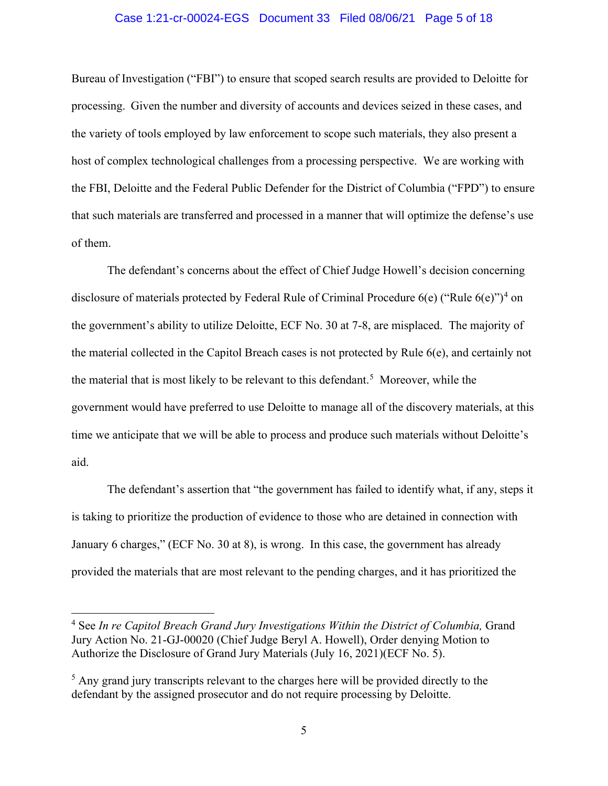#### Case 1:21-cr-00024-EGS Document 33 Filed 08/06/21 Page 5 of 18

Bureau of Investigation ("FBI") to ensure that scoped search results are provided to Deloitte for processing. Given the number and diversity of accounts and devices seized in these cases, and the variety of tools employed by law enforcement to scope such materials, they also present a host of complex technological challenges from a processing perspective. We are working with the FBI, Deloitte and the Federal Public Defender for the District of Columbia ("FPD") to ensure that such materials are transferred and processed in a manner that will optimize the defense's use of them.

The defendant's concerns about the effect of Chief Judge Howell's decision concerning disclosure of materials protected by Federal Rule of Criminal Procedure  $6(e)$  ("Rule  $6(e)$ ")<sup>4</sup> on the government's ability to utilize Deloitte, ECF No. 30 at 7-8, are misplaced. The majority of the material collected in the Capitol Breach cases is not protected by Rule 6(e), and certainly not the material that is most likely to be relevant to this defendant. 5 Moreover, while the government would have preferred to use Deloitte to manage all of the discovery materials, at this time we anticipate that we will be able to process and produce such materials without Deloitte's aid.

The defendant's assertion that "the government has failed to identify what, if any, steps it is taking to prioritize the production of evidence to those who are detained in connection with January 6 charges," (ECF No. 30 at 8), is wrong. In this case, the government has already provided the materials that are most relevant to the pending charges, and it has prioritized the

<sup>&</sup>lt;sup>4</sup> See *In re Capitol Breach Grand Jury Investigations Within the District of Columbia, Grand* Jury Action No. 21-GJ-00020 (Chief Judge Beryl A. Howell), Order denying Motion to Authorize the Disclosure of Grand Jury Materials (July 16, 2021)(ECF No. 5).

 $<sup>5</sup>$  Any grand jury transcripts relevant to the charges here will be provided directly to the</sup> defendant by the assigned prosecutor and do not require processing by Deloitte.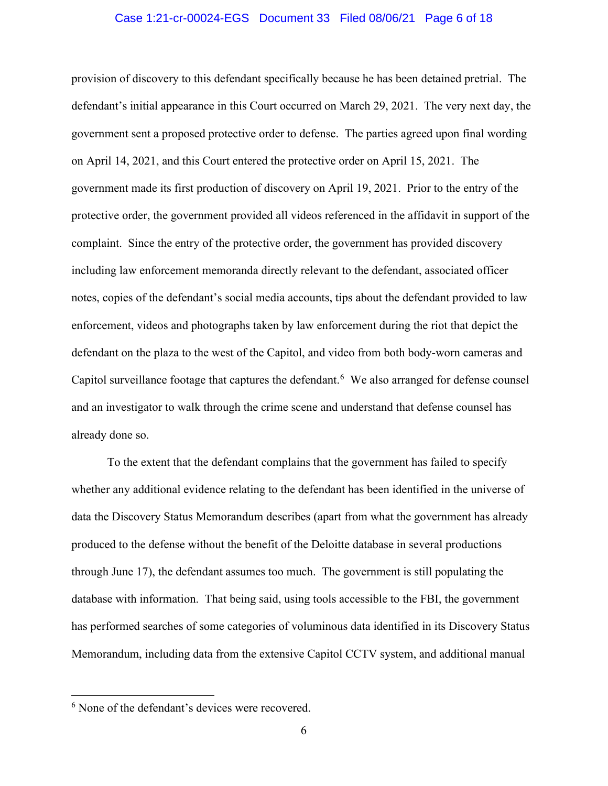#### Case 1:21-cr-00024-EGS Document 33 Filed 08/06/21 Page 6 of 18

provision of discovery to this defendant specifically because he has been detained pretrial. The defendant's initial appearance in this Court occurred on March 29, 2021. The very next day, the government sent a proposed protective order to defense. The parties agreed upon final wording on April 14, 2021, and this Court entered the protective order on April 15, 2021. The government made its first production of discovery on April 19, 2021. Prior to the entry of the protective order, the government provided all videos referenced in the affidavit in support of the complaint. Since the entry of the protective order, the government has provided discovery including law enforcement memoranda directly relevant to the defendant, associated officer notes, copies of the defendant's social media accounts, tips about the defendant provided to law enforcement, videos and photographs taken by law enforcement during the riot that depict the defendant on the plaza to the west of the Capitol, and video from both body-worn cameras and Capitol surveillance footage that captures the defendant.<sup>6</sup> We also arranged for defense counsel and an investigator to walk through the crime scene and understand that defense counsel has already done so.

To the extent that the defendant complains that the government has failed to specify whether any additional evidence relating to the defendant has been identified in the universe of data the Discovery Status Memorandum describes (apart from what the government has already produced to the defense without the benefit of the Deloitte database in several productions through June 17), the defendant assumes too much. The government is still populating the database with information. That being said, using tools accessible to the FBI, the government has performed searches of some categories of voluminous data identified in its Discovery Status Memorandum, including data from the extensive Capitol CCTV system, and additional manual

<sup>&</sup>lt;sup>6</sup> None of the defendant's devices were recovered.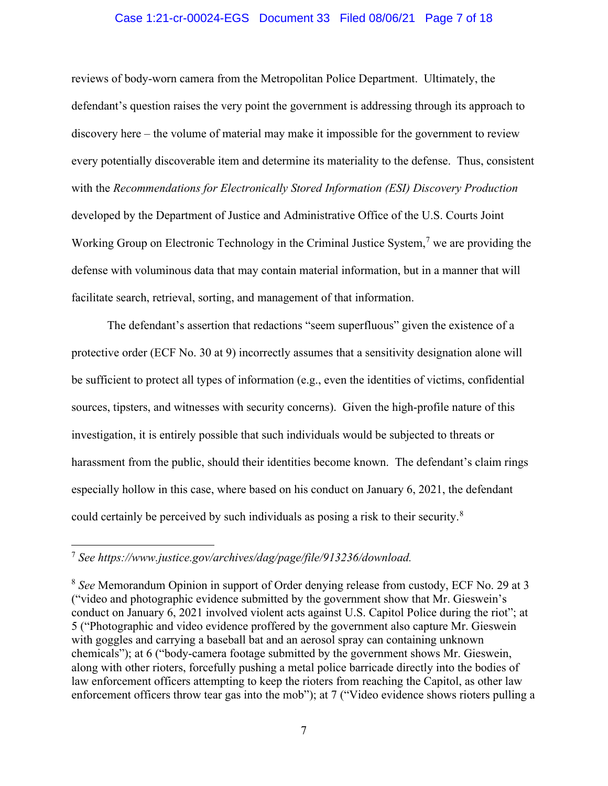#### Case 1:21-cr-00024-EGS Document 33 Filed 08/06/21 Page 7 of 18

reviews of body-worn camera from the Metropolitan Police Department. Ultimately, the defendant's question raises the very point the government is addressing through its approach to discovery here – the volume of material may make it impossible for the government to review every potentially discoverable item and determine its materiality to the defense. Thus, consistent with the *Recommendations for Electronically Stored Information (ESI) Discovery Production* developed by the Department of Justice and Administrative Office of the U.S. Courts Joint Working Group on Electronic Technology in the Criminal Justice System,<sup>7</sup> we are providing the defense with voluminous data that may contain material information, but in a manner that will facilitate search, retrieval, sorting, and management of that information.

The defendant's assertion that redactions "seem superfluous" given the existence of a protective order (ECF No. 30 at 9) incorrectly assumes that a sensitivity designation alone will be sufficient to protect all types of information (e.g., even the identities of victims, confidential sources, tipsters, and witnesses with security concerns). Given the high-profile nature of this investigation, it is entirely possible that such individuals would be subjected to threats or harassment from the public, should their identities become known. The defendant's claim rings especially hollow in this case, where based on his conduct on January 6, 2021, the defendant could certainly be perceived by such individuals as posing a risk to their security. $8$ 

<sup>7</sup> *See https://www.justice.gov/archives/dag/page/file/913236/download.*

<sup>8</sup> *See* Memorandum Opinion in support of Order denying release from custody, ECF No. 29 at 3 ("video and photographic evidence submitted by the government show that Mr. Gieswein's conduct on January 6, 2021 involved violent acts against U.S. Capitol Police during the riot"; at 5 ("Photographic and video evidence proffered by the government also capture Mr. Gieswein with goggles and carrying a baseball bat and an aerosol spray can containing unknown chemicals"); at 6 ("body-camera footage submitted by the government shows Mr. Gieswein, along with other rioters, forcefully pushing a metal police barricade directly into the bodies of law enforcement officers attempting to keep the rioters from reaching the Capitol, as other law enforcement officers throw tear gas into the mob"); at 7 ("Video evidence shows rioters pulling a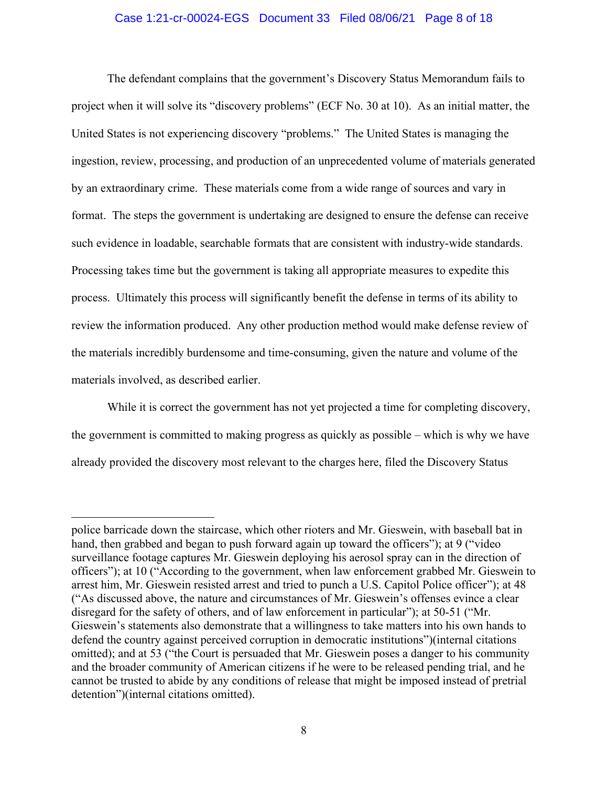#### Case 1:21-cr-00024-EGS Document 33 Filed 08/06/21 Page 8 of 18

The defendant complains that the government's Discovery Status Memorandum fails to project when it will solve its "discovery problems" (ECF No. 30 at 10). As an initial matter, the United States is not experiencing discovery "problems." The United States is managing the ingestion, review, processing, and production of an unprecedented volume of materials generated by an extraordinary crime. These materials come from a wide range of sources and vary in format. The steps the government is undertaking are designed to ensure the defense can receive such evidence in loadable, searchable formats that are consistent with industry-wide standards. Processing takes time but the government is taking all appropriate measures to expedite this process. Ultimately this process will significantly benefit the defense in terms of its ability to review the information produced. Any other production method would make defense review of the materials incredibly burdensome and time-consuming, given the nature and volume of the materials involved, as described earlier.

While it is correct the government has not yet projected a time for completing discovery, the government is committed to making progress as quickly as possible – which is why we have already provided the discovery most relevant to the charges here, filed the Discovery Status

police barricade down the staircase, which other rioters and Mr. Gieswein, with baseball bat in hand, then grabbed and began to push forward again up toward the officers"); at 9 ("video surveillance footage captures Mr. Gieswein deploying his aerosol spray can in the direction of officers"); at 10 ("According to the government, when law enforcement grabbed Mr. Gieswein to arrest him, Mr. Gieswein resisted arrest and tried to punch a U.S. Capitol Police officer"); at 48 ("As discussed above, the nature and circumstances of Mr. Gieswein's offenses evince a clear disregard for the safety of others, and of law enforcement in particular"); at 50-51 ("Mr. Gieswein's statements also demonstrate that a willingness to take matters into his own hands to defend the country against perceived corruption in democratic institutions")(internal citations omitted); and at 53 ("the Court is persuaded that Mr. Gieswein poses a danger to his community and the broader community of American citizens if he were to be released pending trial, and he cannot be trusted to abide by any conditions of release that might be imposed instead of pretrial detention")(internal citations omitted).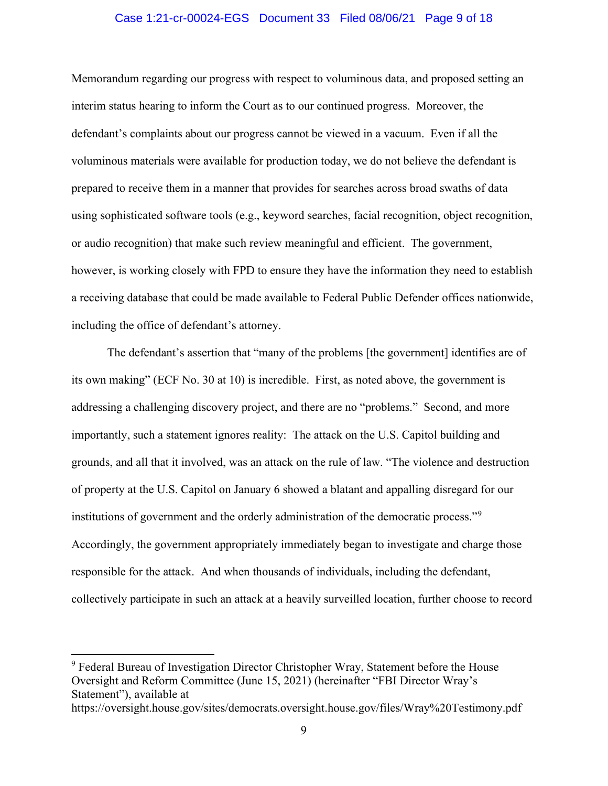#### Case 1:21-cr-00024-EGS Document 33 Filed 08/06/21 Page 9 of 18

Memorandum regarding our progress with respect to voluminous data, and proposed setting an interim status hearing to inform the Court as to our continued progress. Moreover, the defendant's complaints about our progress cannot be viewed in a vacuum. Even if all the voluminous materials were available for production today, we do not believe the defendant is prepared to receive them in a manner that provides for searches across broad swaths of data using sophisticated software tools (e.g., keyword searches, facial recognition, object recognition, or audio recognition) that make such review meaningful and efficient. The government, however, is working closely with FPD to ensure they have the information they need to establish a receiving database that could be made available to Federal Public Defender offices nationwide, including the office of defendant's attorney.

The defendant's assertion that "many of the problems [the government] identifies are of its own making" (ECF No. 30 at 10) is incredible. First, as noted above, the government is addressing a challenging discovery project, and there are no "problems." Second, and more importantly, such a statement ignores reality: The attack on the U.S. Capitol building and grounds, and all that it involved, was an attack on the rule of law. "The violence and destruction of property at the U.S. Capitol on January 6 showed a blatant and appalling disregard for our institutions of government and the orderly administration of the democratic process."<sup>9</sup> Accordingly, the government appropriately immediately began to investigate and charge those responsible for the attack. And when thousands of individuals, including the defendant, collectively participate in such an attack at a heavily surveilled location, further choose to record

https://oversight.house.gov/sites/democrats.oversight.house.gov/files/Wray%20Testimony.pdf

<sup>&</sup>lt;sup>9</sup> Federal Bureau of Investigation Director Christopher Wray, Statement before the House Oversight and Reform Committee (June 15, 2021) (hereinafter "FBI Director Wray's Statement"), available at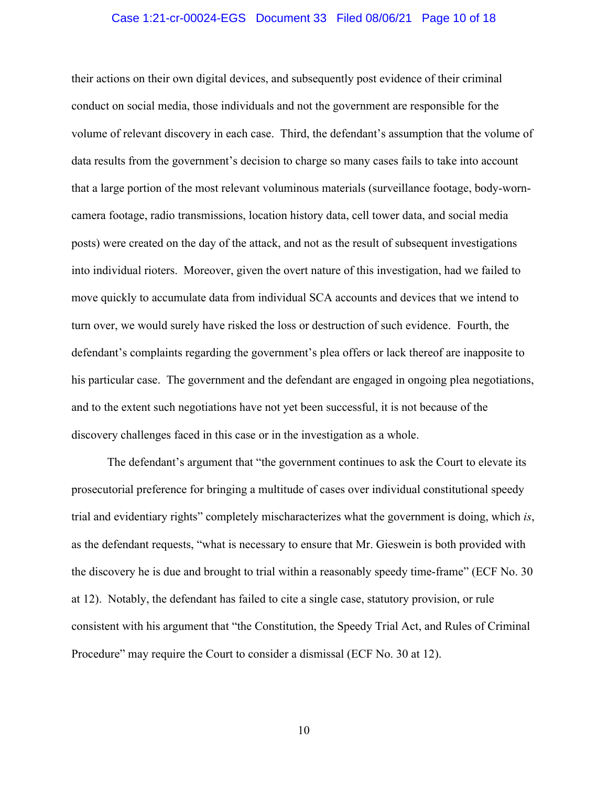#### Case 1:21-cr-00024-EGS Document 33 Filed 08/06/21 Page 10 of 18

their actions on their own digital devices, and subsequently post evidence of their criminal conduct on social media, those individuals and not the government are responsible for the volume of relevant discovery in each case. Third, the defendant's assumption that the volume of data results from the government's decision to charge so many cases fails to take into account that a large portion of the most relevant voluminous materials (surveillance footage, body-worncamera footage, radio transmissions, location history data, cell tower data, and social media posts) were created on the day of the attack, and not as the result of subsequent investigations into individual rioters. Moreover, given the overt nature of this investigation, had we failed to move quickly to accumulate data from individual SCA accounts and devices that we intend to turn over, we would surely have risked the loss or destruction of such evidence. Fourth, the defendant's complaints regarding the government's plea offers or lack thereof are inapposite to his particular case. The government and the defendant are engaged in ongoing plea negotiations, and to the extent such negotiations have not yet been successful, it is not because of the discovery challenges faced in this case or in the investigation as a whole.

The defendant's argument that "the government continues to ask the Court to elevate its prosecutorial preference for bringing a multitude of cases over individual constitutional speedy trial and evidentiary rights" completely mischaracterizes what the government is doing, which *is*, as the defendant requests, "what is necessary to ensure that Mr. Gieswein is both provided with the discovery he is due and brought to trial within a reasonably speedy time-frame" (ECF No. 30 at 12). Notably, the defendant has failed to cite a single case, statutory provision, or rule consistent with his argument that "the Constitution, the Speedy Trial Act, and Rules of Criminal Procedure" may require the Court to consider a dismissal (ECF No. 30 at 12).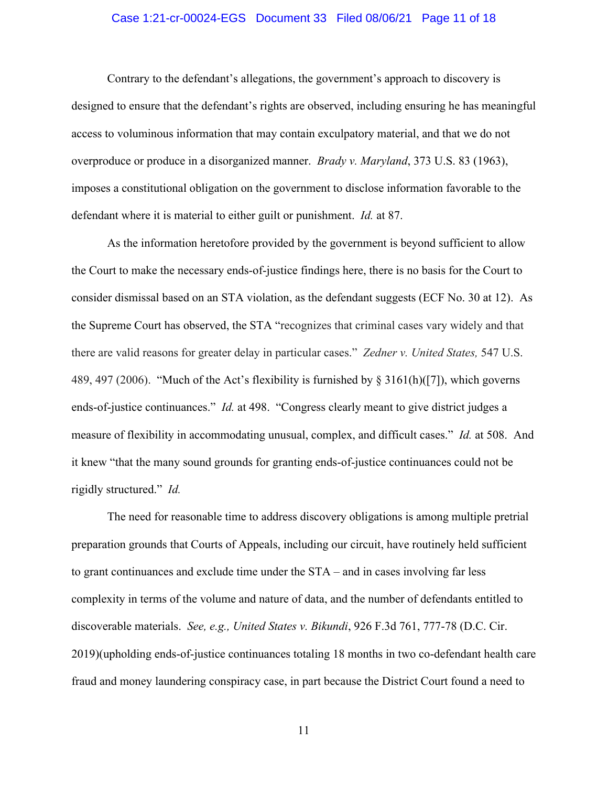#### Case 1:21-cr-00024-EGS Document 33 Filed 08/06/21 Page 11 of 18

Contrary to the defendant's allegations, the government's approach to discovery is designed to ensure that the defendant's rights are observed, including ensuring he has meaningful access to voluminous information that may contain exculpatory material, and that we do not overproduce or produce in a disorganized manner. *Brady v. Maryland*, 373 U.S. 83 (1963), imposes a constitutional obligation on the government to disclose information favorable to the defendant where it is material to either guilt or punishment. *Id.* at 87.

As the information heretofore provided by the government is beyond sufficient to allow the Court to make the necessary ends-of-justice findings here, there is no basis for the Court to consider dismissal based on an STA violation, as the defendant suggests (ECF No. 30 at 12). As the Supreme Court has observed, the STA "recognizes that criminal cases vary widely and that there are valid reasons for greater delay in particular cases." *Zedner v. United States,* 547 U.S. 489, 497 (2006). "Much of the Act's flexibility is furnished by  $\S 3161(h)(7)$ , which governs ends-of-justice continuances." *Id.* at 498. "Congress clearly meant to give district judges a measure of flexibility in accommodating unusual, complex, and difficult cases." *Id.* at 508. And it knew "that the many sound grounds for granting ends-of-justice continuances could not be rigidly structured." *Id.*

The need for reasonable time to address discovery obligations is among multiple pretrial preparation grounds that Courts of Appeals, including our circuit, have routinely held sufficient to grant continuances and exclude time under the STA – and in cases involving far less complexity in terms of the volume and nature of data, and the number of defendants entitled to discoverable materials. *See, e.g., United States v. Bikundi*, 926 F.3d 761, 777-78 (D.C. Cir. 2019)(upholding ends-of-justice continuances totaling 18 months in two co-defendant health care fraud and money laundering conspiracy case, in part because the District Court found a need to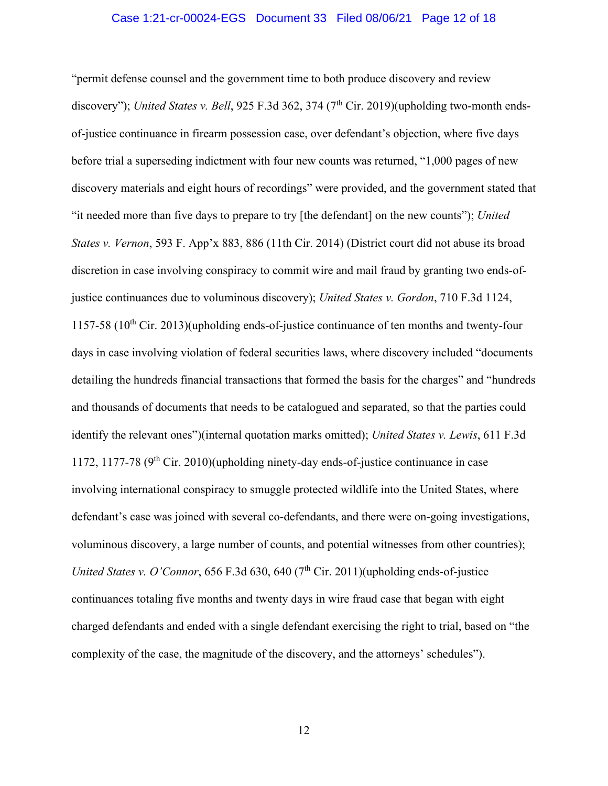#### Case 1:21-cr-00024-EGS Document 33 Filed 08/06/21 Page 12 of 18

"permit defense counsel and the government time to both produce discovery and review discovery"); *United States v. Bell*, 925 F.3d 362, 374 (7<sup>th</sup> Cir. 2019)(upholding two-month endsof-justice continuance in firearm possession case, over defendant's objection, where five days before trial a superseding indictment with four new counts was returned, "1,000 pages of new discovery materials and eight hours of recordings" were provided, and the government stated that "it needed more than five days to prepare to try [the defendant] on the new counts"); *United States v. Vernon*, 593 F. App'x 883, 886 (11th Cir. 2014) (District court did not abuse its broad discretion in case involving conspiracy to commit wire and mail fraud by granting two ends-ofjustice continuances due to voluminous discovery); *United States v. Gordon*, 710 F.3d 1124, 1157-58  $(10<sup>th</sup> Cir. 2013)(upholding ends-of-justice continuous of ten months and twenty-four$ days in case involving violation of federal securities laws, where discovery included "documents detailing the hundreds financial transactions that formed the basis for the charges" and "hundreds and thousands of documents that needs to be catalogued and separated, so that the parties could identify the relevant ones")(internal quotation marks omitted); *United States v. Lewis*, 611 F.3d 1172, 1177-78  $(9<sup>th</sup> Cir. 2010)(upholding ninety-day ends-of-justice continuous in case)$ involving international conspiracy to smuggle protected wildlife into the United States, where defendant's case was joined with several co-defendants, and there were on-going investigations, voluminous discovery, a large number of counts, and potential witnesses from other countries); *United States v. O'Connor*, 656 F.3d 630, 640 ( $7<sup>th</sup>$  Cir. 2011)(upholding ends-of-justice continuances totaling five months and twenty days in wire fraud case that began with eight charged defendants and ended with a single defendant exercising the right to trial, based on "the complexity of the case, the magnitude of the discovery, and the attorneys' schedules").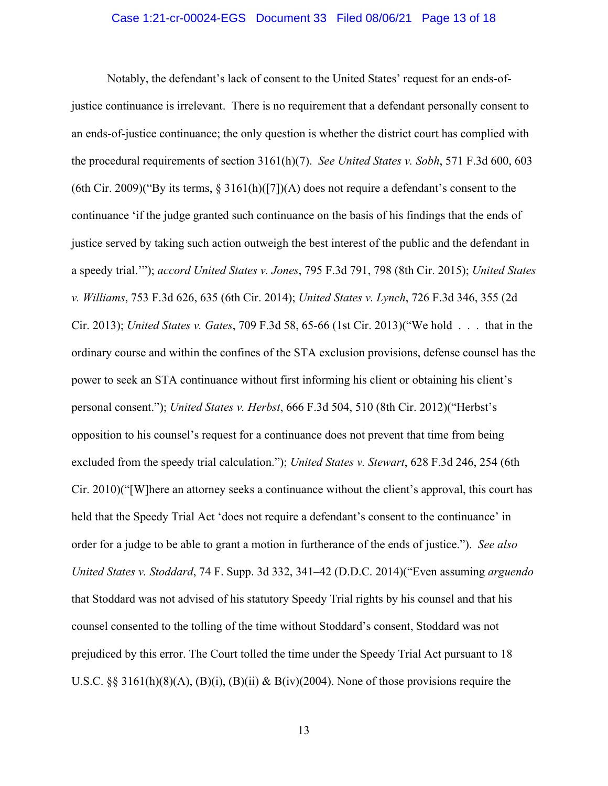#### Case 1:21-cr-00024-EGS Document 33 Filed 08/06/21 Page 13 of 18

Notably, the defendant's lack of consent to the United States' request for an ends-ofjustice continuance is irrelevant. There is no requirement that a defendant personally consent to an ends-of-justice continuance; the only question is whether the district court has complied with the procedural requirements of section 3161(h)(7). *See United States v. Sobh*, 571 F.3d 600, 603 (6th Cir. 2009)("By its terms,  $\S 3161(h)(77)(A)$  does not require a defendant's consent to the continuance 'if the judge granted such continuance on the basis of his findings that the ends of justice served by taking such action outweigh the best interest of the public and the defendant in a speedy trial.'"); *accord United States v. Jones*, 795 F.3d 791, 798 (8th Cir. 2015); *United States v. Williams*, 753 F.3d 626, 635 (6th Cir. 2014); *United States v. Lynch*, 726 F.3d 346, 355 (2d Cir. 2013); *United States v. Gates*, 709 F.3d 58, 65-66 (1st Cir. 2013)("We hold . . . that in the ordinary course and within the confines of the STA exclusion provisions, defense counsel has the power to seek an STA continuance without first informing his client or obtaining his client's personal consent."); *United States v. Herbst*, 666 F.3d 504, 510 (8th Cir. 2012)("Herbst's opposition to his counsel's request for a continuance does not prevent that time from being excluded from the speedy trial calculation."); *United States v. Stewart*, 628 F.3d 246, 254 (6th Cir. 2010)("[W]here an attorney seeks a continuance without the client's approval, this court has held that the Speedy Trial Act 'does not require a defendant's consent to the continuance' in order for a judge to be able to grant a motion in furtherance of the ends of justice."). *See also United States v. Stoddard*, 74 F. Supp. 3d 332, 341–42 (D.D.C. 2014)("Even assuming *arguendo*  that Stoddard was not advised of his statutory Speedy Trial rights by his counsel and that his counsel consented to the tolling of the time without Stoddard's consent, Stoddard was not prejudiced by this error. The Court tolled the time under the Speedy Trial Act pursuant to 18 U.S.C. §§ 3161(h)(8)(A), (B)(i), (B)(ii) & B(iv)(2004). None of those provisions require the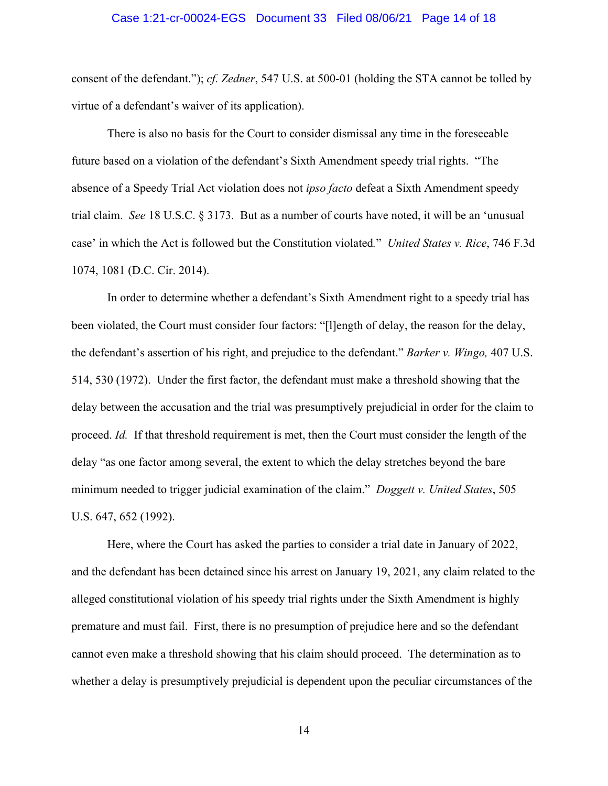#### Case 1:21-cr-00024-EGS Document 33 Filed 08/06/21 Page 14 of 18

consent of the defendant."); *cf. Zedner*, 547 U.S. at 500-01 (holding the STA cannot be tolled by virtue of a defendant's waiver of its application).

There is also no basis for the Court to consider dismissal any time in the foreseeable future based on a violation of the defendant's Sixth Amendment speedy trial rights. "The absence of a Speedy Trial Act violation does not *ipso facto* defeat a Sixth Amendment speedy trial claim. *See* 18 U.S.C. § 3173. But as a number of courts have noted, it will be an 'unusual case' in which the Act is followed but the Constitution violated*.*" *United States v. Rice*, 746 F.3d 1074, 1081 (D.C. Cir. 2014).

In order to determine whether a defendant's Sixth Amendment right to a speedy trial has been violated, the Court must consider four factors: "[l]ength of delay, the reason for the delay, the defendant's assertion of his right, and prejudice to the defendant." *Barker v. Wingo,* 407 U.S. 514, 530 (1972). Under the first factor, the defendant must make a threshold showing that the delay between the accusation and the trial was presumptively prejudicial in order for the claim to proceed. *Id.* If that threshold requirement is met, then the Court must consider the length of the delay "as one factor among several, the extent to which the delay stretches beyond the bare minimum needed to trigger judicial examination of the claim." *Doggett v. United States*, 505 U.S. 647, 652 (1992).

Here, where the Court has asked the parties to consider a trial date in January of 2022, and the defendant has been detained since his arrest on January 19, 2021, any claim related to the alleged constitutional violation of his speedy trial rights under the Sixth Amendment is highly premature and must fail. First, there is no presumption of prejudice here and so the defendant cannot even make a threshold showing that his claim should proceed. The determination as to whether a delay is presumptively prejudicial is dependent upon the peculiar circumstances of the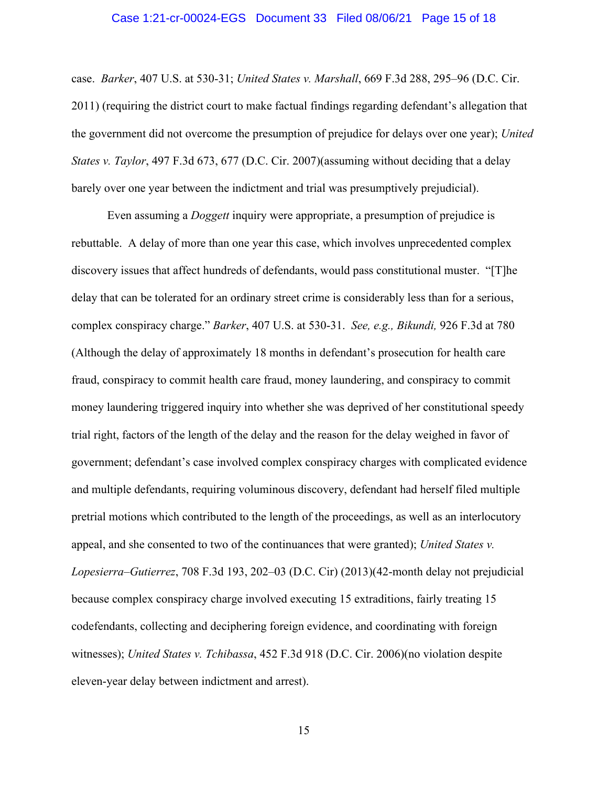#### Case 1:21-cr-00024-EGS Document 33 Filed 08/06/21 Page 15 of 18

case. *Barker*, 407 U.S. at 530-31; *United States v. Marshall*, 669 F.3d 288, 295–96 (D.C. Cir. 2011) (requiring the district court to make factual findings regarding defendant's allegation that the government did not overcome the presumption of prejudice for delays over one year); *United States v. Taylor*, 497 F.3d 673, 677 (D.C. Cir. 2007)(assuming without deciding that a delay barely over one year between the indictment and trial was presumptively prejudicial).

Even assuming a *Doggett* inquiry were appropriate, a presumption of prejudice is rebuttable. A delay of more than one year this case, which involves unprecedented complex discovery issues that affect hundreds of defendants, would pass constitutional muster. "[T]he delay that can be tolerated for an ordinary street crime is considerably less than for a serious, complex conspiracy charge." *Barker*, 407 U.S. at 530-31. *See, e.g., Bikundi,* 926 F.3d at 780 (Although the delay of approximately 18 months in defendant's prosecution for health care fraud, conspiracy to commit health care fraud, money laundering, and conspiracy to commit money laundering triggered inquiry into whether she was deprived of her constitutional speedy trial right, factors of the length of the delay and the reason for the delay weighed in favor of government; defendant's case involved complex conspiracy charges with complicated evidence and multiple defendants, requiring voluminous discovery, defendant had herself filed multiple pretrial motions which contributed to the length of the proceedings, as well as an interlocutory appeal, and she consented to two of the continuances that were granted); *United States v. Lopesierra–Gutierrez*, 708 F.3d 193, 202–03 (D.C. Cir) (2013)(42-month delay not prejudicial because complex conspiracy charge involved executing 15 extraditions, fairly treating 15 codefendants, collecting and deciphering foreign evidence, and coordinating with foreign witnesses); *United States v. Tchibassa*, 452 F.3d 918 (D.C. Cir. 2006)(no violation despite eleven-year delay between indictment and arrest).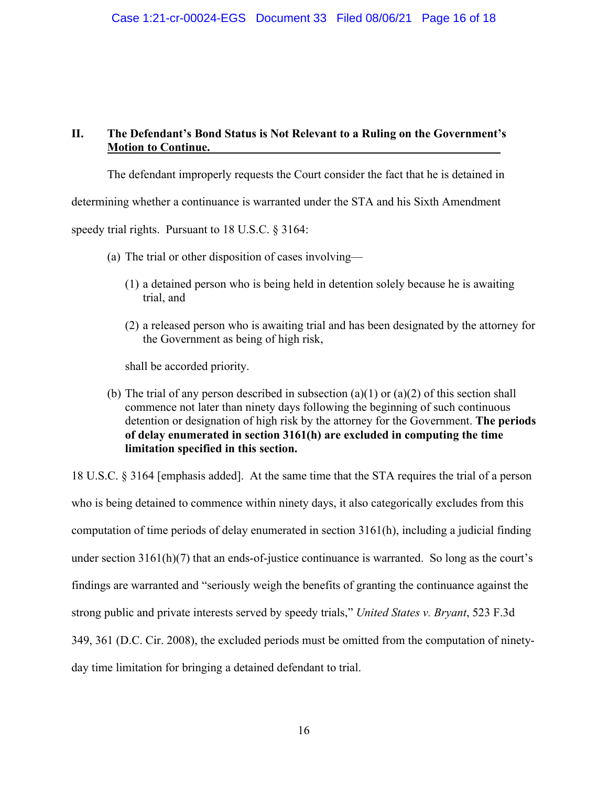# **II. The Defendant's Bond Status is Not Relevant to a Ruling on the Government's Motion to Continue.**

The defendant improperly requests the Court consider the fact that he is detained in

determining whether a continuance is warranted under the STA and his Sixth Amendment

speedy trial rights. Pursuant to 18 U.S.C. § 3164:

- (a) The trial or other disposition of cases involving—
	- (1) a detained person who is being held in detention solely because he is awaiting trial, and
	- (2) a released person who is awaiting trial and has been designated by the attorney for the Government as being of high risk,

shall be accorded priority.

(b) The trial of any person described in subsection (a)(1) or (a)(2) of this section shall commence not later than ninety days following the beginning of such continuous detention or designation of high risk by the attorney for the Government. **The periods of delay enumerated in section 3161(h) are excluded in computing the time limitation specified in this section.**

18 U.S.C. § 3164 [emphasis added]. At the same time that the STA requires the trial of a person who is being detained to commence within ninety days, it also categorically excludes from this computation of time periods of delay enumerated in section 3161(h), including a judicial finding under section  $3161(h)(7)$  that an ends-of-justice continuance is warranted. So long as the court's findings are warranted and "seriously weigh the benefits of granting the continuance against the strong public and private interests served by speedy trials," *United States v. Bryant*, 523 F.3d 349, 361 (D.C. Cir. 2008), the excluded periods must be omitted from the computation of ninetyday time limitation for bringing a detained defendant to trial.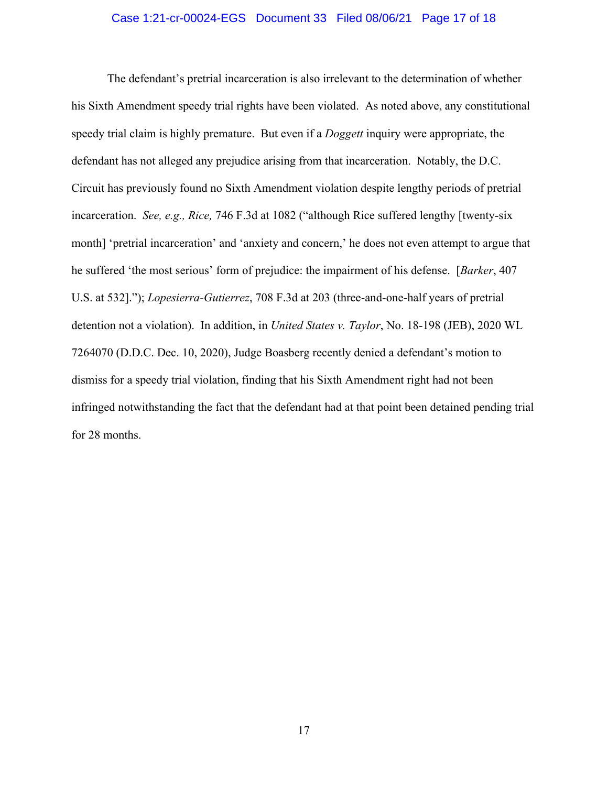#### Case 1:21-cr-00024-EGS Document 33 Filed 08/06/21 Page 17 of 18

The defendant's pretrial incarceration is also irrelevant to the determination of whether his Sixth Amendment speedy trial rights have been violated. As noted above, any constitutional speedy trial claim is highly premature. But even if a *Doggett* inquiry were appropriate, the defendant has not alleged any prejudice arising from that incarceration. Notably, the D.C. Circuit has previously found no Sixth Amendment violation despite lengthy periods of pretrial incarceration. *See, e.g., Rice,* 746 F.3d at 1082 ("although Rice suffered lengthy [twenty-six month] 'pretrial incarceration' and 'anxiety and concern,' he does not even attempt to argue that he suffered 'the most serious' form of prejudice: the impairment of his defense. [*Barker*, 407 U.S. at 532]."); *Lopesierra-Gutierrez*, 708 F.3d at 203 (three-and-one-half years of pretrial detention not a violation). In addition, in *United States v. Taylor*, No. 18-198 (JEB), 2020 WL 7264070 (D.D.C. Dec. 10, 2020), Judge Boasberg recently denied a defendant's motion to dismiss for a speedy trial violation, finding that his Sixth Amendment right had not been infringed notwithstanding the fact that the defendant had at that point been detained pending trial for 28 months.